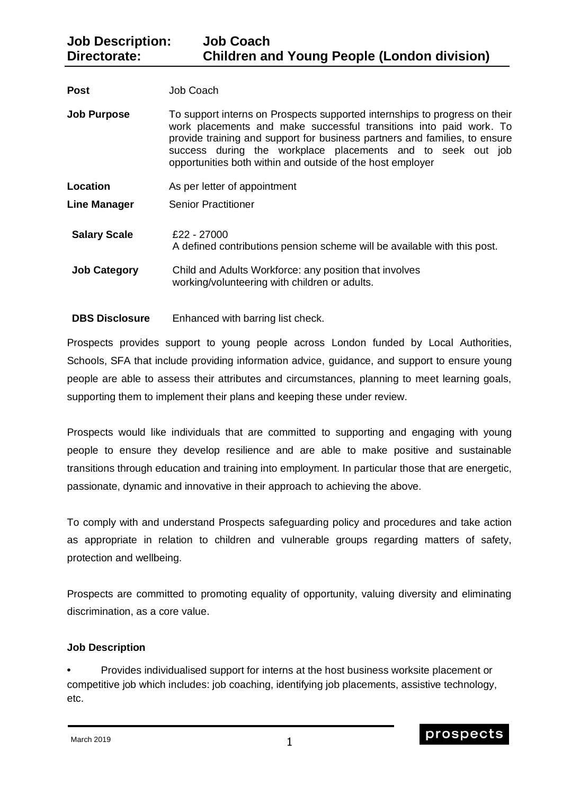| <b>Post</b>         | Job Coach                                                                                                                                                                                                                                                                                                                                                   |
|---------------------|-------------------------------------------------------------------------------------------------------------------------------------------------------------------------------------------------------------------------------------------------------------------------------------------------------------------------------------------------------------|
| <b>Job Purpose</b>  | To support interns on Prospects supported internships to progress on their<br>work placements and make successful transitions into paid work. To<br>provide training and support for business partners and families, to ensure<br>success during the workplace placements and to seek out job<br>opportunities both within and outside of the host employer |
| Location            | As per letter of appointment                                                                                                                                                                                                                                                                                                                                |
| <b>Line Manager</b> | <b>Senior Practitioner</b>                                                                                                                                                                                                                                                                                                                                  |
| <b>Salary Scale</b> | £22 - 27000<br>A defined contributions pension scheme will be available with this post.                                                                                                                                                                                                                                                                     |
| <b>Job Category</b> | Child and Adults Workforce: any position that involves<br>working/volunteering with children or adults.                                                                                                                                                                                                                                                     |
|                     |                                                                                                                                                                                                                                                                                                                                                             |

## **DBS Disclosure** Enhanced with barring list check.

Prospects provides support to young people across London funded by Local Authorities, Schools, SFA that include providing information advice, guidance, and support to ensure young people are able to assess their attributes and circumstances, planning to meet learning goals, supporting them to implement their plans and keeping these under review.

Prospects would like individuals that are committed to supporting and engaging with young people to ensure they develop resilience and are able to make positive and sustainable transitions through education and training into employment. In particular those that are energetic, passionate, dynamic and innovative in their approach to achieving the above.

To comply with and understand Prospects safeguarding policy and procedures and take action as appropriate in relation to children and vulnerable groups regarding matters of safety, protection and wellbeing.

Prospects are committed to promoting equality of opportunity, valuing diversity and eliminating discrimination, as a core value.

## **Job Description**

**•** Provides individualised support for interns at the host business worksite placement or competitive job which includes: job coaching, identifying job placements, assistive technology, etc.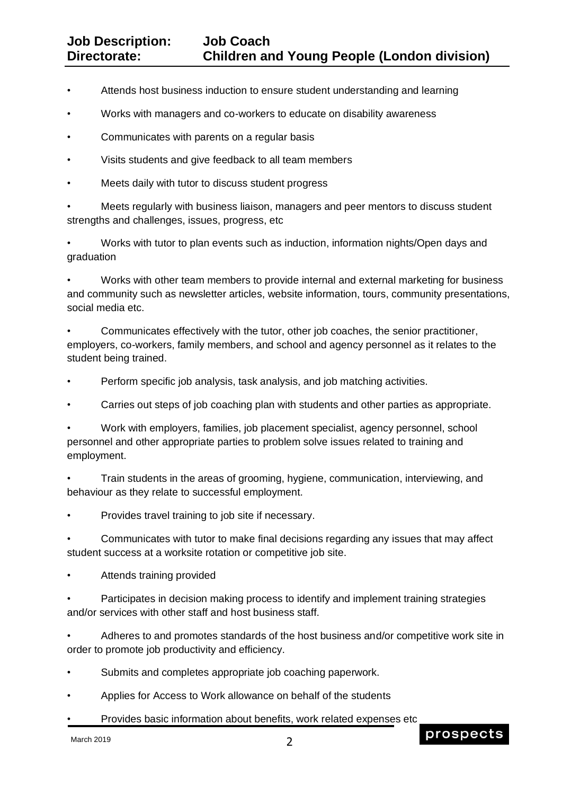- Attends host business induction to ensure student understanding and learning
- Works with managers and co-workers to educate on disability awareness
- Communicates with parents on a regular basis
- Visits students and give feedback to all team members
- Meets daily with tutor to discuss student progress

• Meets regularly with business liaison, managers and peer mentors to discuss student strengths and challenges, issues, progress, etc

• Works with tutor to plan events such as induction, information nights/Open days and graduation

• Works with other team members to provide internal and external marketing for business and community such as newsletter articles, website information, tours, community presentations, social media etc.

• Communicates effectively with the tutor, other job coaches, the senior practitioner, employers, co-workers, family members, and school and agency personnel as it relates to the student being trained.

• Perform specific job analysis, task analysis, and job matching activities.

• Carries out steps of job coaching plan with students and other parties as appropriate.

• Work with employers, families, job placement specialist, agency personnel, school personnel and other appropriate parties to problem solve issues related to training and employment.

• Train students in the areas of grooming, hygiene, communication, interviewing, and behaviour as they relate to successful employment.

• Provides travel training to job site if necessary.

• Communicates with tutor to make final decisions regarding any issues that may affect student success at a worksite rotation or competitive job site.

• Attends training provided

Participates in decision making process to identify and implement training strategies and/or services with other staff and host business staff.

• Adheres to and promotes standards of the host business and/or competitive work site in order to promote job productivity and efficiency.

- Submits and completes appropriate job coaching paperwork.
- Applies for Access to Work allowance on behalf of the students
- Provides basic information about benefits, work related expenses etc

March 2019

prospects